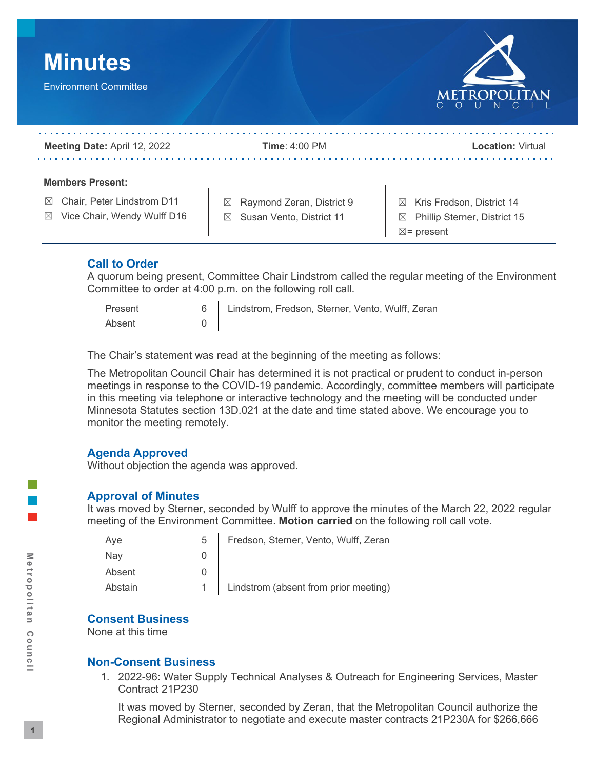

## **Call to Order**

 A quorum being present, Committee Chair Lindstrom called the regular meeting of the Environment Committee to order at 4:00 p.m. on the following roll call.

 $\Omega$ 

Present 1:00 | 6 | Lindstrom, Fredson, Sterner, Vento, Wulff, Zeran

Absent  $\begin{vmatrix} 0 \\ \end{vmatrix}$  o  $\begin{vmatrix} 0 \\ \end{vmatrix}$ <br>The Chair's statement was read at the beginning of the meeting as follows:

 The Metropolitan Council Chair has determined it is not practical or prudent to conduct in-person meetings in response to the COVID-19 pandemic. Accordingly, committee members will participate in this meeting via telephone or interactive technology and the meeting will be conducted under Minnesota Statutes section 13D.021 at the date and time stated above. We encourage you to monitor the meeting remotely.

# **Agenda Approved**

Without objection the agenda was approved.

## **Approval of Minutes**

 It was moved by Sterner, seconded by Wulff to approve the minutes of the March 22, 2022 regular meeting of the Environment Committee. **Motion carried** on the following roll call vote.

| Aye     | 5 | Fredson, Sterner, Vento, Wulff, Zeran     |
|---------|---|-------------------------------------------|
| Nav     |   |                                           |
| Absent  |   |                                           |
| Abstain |   | 1   Lindstrom (absent from prior meeting) |

## **Consent Business**

None at this time

## **Non-Consent Business**

1. 2022-96: Water Supply Technical Analyses & Outreach for Engineering Services, Master Contract 21P230

 It was moved by Sterner, seconded by Zeran, that the Metropolitan Council authorize the Regional Administrator to negotiate and execute master contracts 21P230A for \$266,666